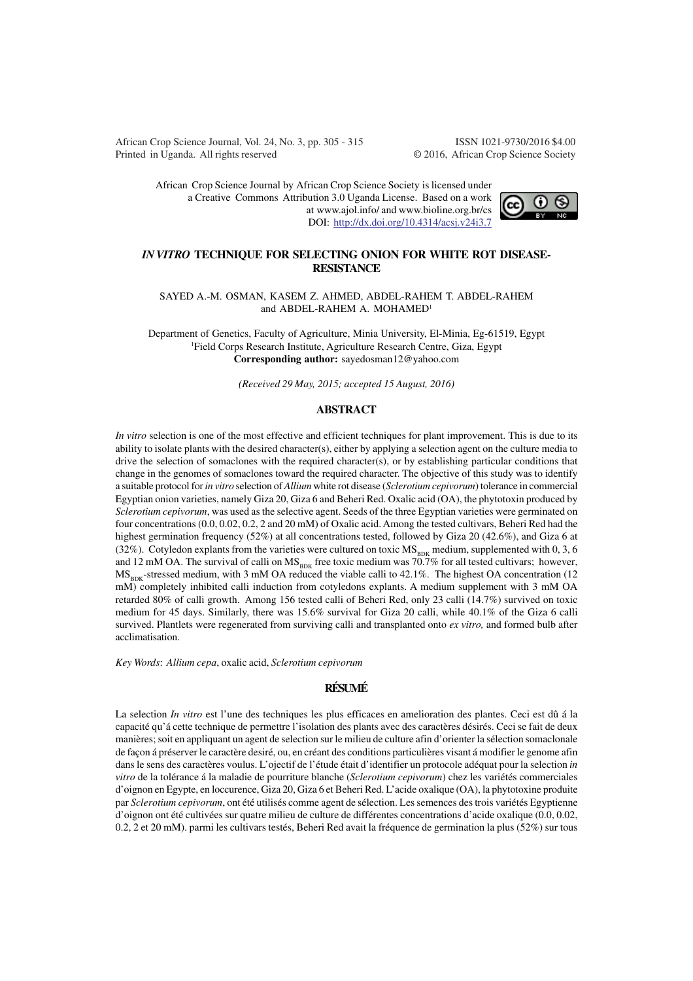African Crop Science Journal, Vol. 24, No. 3, pp. 305 - 315 ISSN 1021-9730/2016 \$4.00 Printed in Uganda. All rights reserved  $\degree$  2016, African Crop Science Society

African Crop Science Journal by African Crop Science Society is licensed under a Creative Commons Attribution 3.0 Uganda License. Based on a work at www.ajol.info/ and www.bioline.org.br/cs DOI: http://dx.doi.org/10.4314/acsj.v24i3.7



# *IN VITRO* **TECHNIQUE FOR SELECTING ONION FOR WHITE ROT DISEASE-RESISTANCE**

SAYED A.-M. OSMAN, KASEM Z. AHMED, ABDEL-RAHEM T. ABDEL-RAHEM and ABDEL-RAHEM A. MOHAMED<sup>1</sup>

Department of Genetics, Faculty of Agriculture, Minia University, El-Minia, Eg-61519, Egypt <sup>1</sup>Field Corps Research Institute, Agriculture Research Centre, Giza, Egypt **Corresponding author:** sayedosman12@yahoo.com

*(Received 29 May, 2015; accepted 15 August, 2016)*

## **ABSTRACT**

*In vitro* selection is one of the most effective and efficient techniques for plant improvement. This is due to its ability to isolate plants with the desired character(s), either by applying a selection agent on the culture media to drive the selection of somaclones with the required character(s), or by establishing particular conditions that change in the genomes of somaclones toward the required character. The objective of this study was to identify a suitable protocol for *in vitro* selection of *Allium* white rot disease (*Sclerotium cepivorum*) tolerance in commercial Egyptian onion varieties, namely Giza 20, Giza 6 and Beheri Red. Oxalic acid (OA), the phytotoxin produced by *Sclerotium cepivorum*, was used as the selective agent. Seeds of the three Egyptian varieties were germinated on four concentrations (0.0, 0.02, 0.2, 2 and 20 mM) of Oxalic acid. Among the tested cultivars, Beheri Red had the highest germination frequency (52%) at all concentrations tested, followed by Giza 20 (42.6%), and Giza 6 at (32%). Cotyledon explants from the varieties were cultured on toxic  $MS_{\text{BDK}}$  medium, supplemented with 0, 3, 6 and 12 mM OA. The survival of calli on  $MS_{BBK}$  free toxic medium was 70.7% for all tested cultivars; however,  $MS<sub>onx</sub>$ -stressed medium, with 3 mM OA reduced the viable calli to 42.1%. The highest OA concentration (12) mM) completely inhibited calli induction from cotyledons explants. A medium supplement with 3 mM OA retarded 80% of calli growth. Among 156 tested calli of Beheri Red, only 23 calli (14.7%) survived on toxic medium for 45 days. Similarly, there was 15.6% survival for Giza 20 calli, while 40.1% of the Giza 6 calli survived. Plantlets were regenerated from surviving calli and transplanted onto *ex vitro,* and formed bulb after acclimatisation.

*Key Words*: *Allium cepa*, oxalic acid, *Sclerotium cepivorum*

# **RÉSUMÉ**

La selection *In vitro* est l'une des techniques les plus efficaces en amelioration des plantes. Ceci est dû á la capacité qu'á cette technique de permettre l'isolation des plants avec des caractères désirés. Ceci se fait de deux manières; soit en appliquant un agent de selection sur le milieu de culture afin d'orienter la sélection somaclonale de façon á préserver le caractère desiré, ou, en créant des conditions particulières visant á modifier le genome afin dans le sens des caractères voulus. L'ojectif de l'étude était d'identifier un protocole adéquat pour la selection *in vitro* de la tolérance á la maladie de pourriture blanche (*Sclerotium cepivorum*) chez les variétés commerciales d'oignon en Egypte, en loccurence, Giza 20, Giza 6 et Beheri Red. L'acide oxalique (OA), la phytotoxine produite par *Sclerotium cepivorum*, ont été utilisés comme agent de sélection. Les semences des trois variétés Egyptienne d'oignon ont été cultivées sur quatre milieu de culture de différentes concentrations d'acide oxalique (0.0, 0.02, 0.2, 2 et 20 mM). parmi les cultivars testés, Beheri Red avait la fréquence de germination la plus (52%) sur tous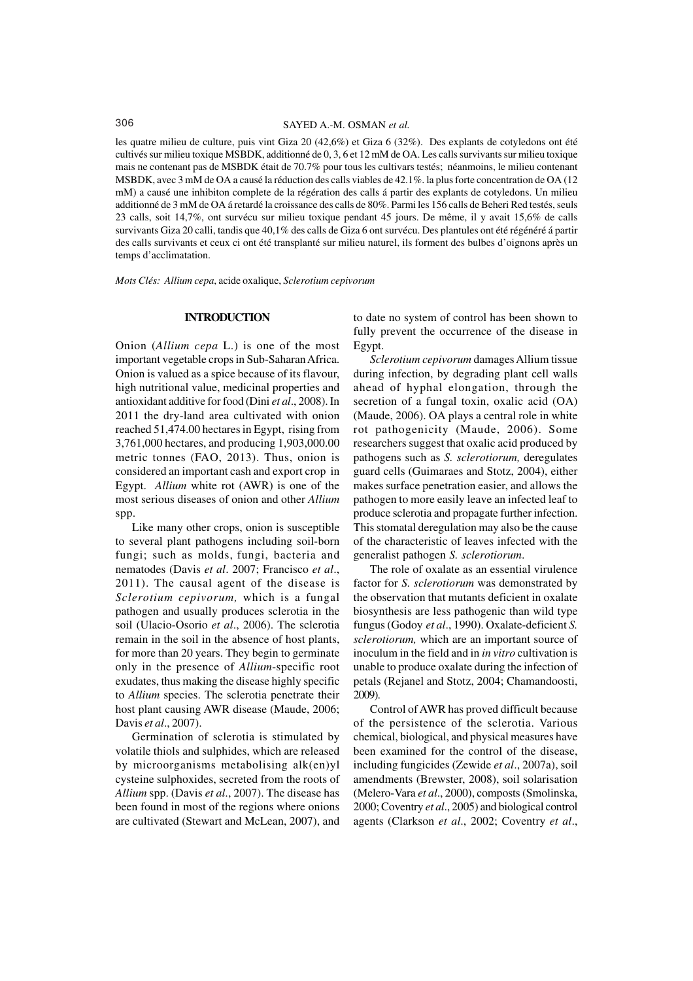les quatre milieu de culture, puis vint Giza 20 (42,6%) et Giza 6 (32%). Des explants de cotyledons ont été cultivés sur milieu toxique MSBDK, additionné de 0, 3, 6 et 12 mM de OA. Les calls survivants sur milieu toxique mais ne contenant pas de MSBDK était de 70.7% pour tous les cultivars testés; néanmoins, le milieu contenant MSBDK, avec 3 mM de OA a causé la réduction des calls viables de 42.1%. la plus forte concentration de OA (12 mM) a causé une inhibiton complete de la régération des calls á partir des explants de cotyledons. Un milieu additionné de 3 mM de OA á retardé la croissance des calls de 80%. Parmi les 156 calls de Beheri Red testés, seuls 23 calls, soit 14,7%, ont survécu sur milieu toxique pendant 45 jours. De même, il y avait 15,6% de calls survivants Giza 20 calli, tandis que 40,1% des calls de Giza 6 ont survécu. Des plantules ont été régénéré á partir des calls survivants et ceux ci ont été transplanté sur milieu naturel, ils forment des bulbes d'oignons après un temps d'acclimatation.

*Mots Clés: Allium cepa*, acide oxalique, *Sclerotium cepivorum*

## **INTRODUCTION**

Onion (*Allium cepa* L.) is one of the most important vegetable crops in Sub-Saharan Africa. Onion is valued as a spice because of its flavour, high nutritional value, medicinal properties and antioxidant additive for food (Dini *et al*., 2008). In 2011 the dry-land area cultivated with onion reached 51,474.00 hectares in Egypt, rising from 3,761,000 hectares, and producing 1,903,000.00 metric tonnes (FAO, 2013). Thus, onion is considered an important cash and export crop in Egypt. *Allium* white rot (AWR) is one of the most serious diseases of onion and other *Allium* spp.

Like many other crops, onion is susceptible to several plant pathogens including soil-born fungi; such as molds, fungi, bacteria and nematodes (Davis *et al*. 2007; Francisco *et al*., 2011). The causal agent of the disease is *Sclerotium cepivorum,* which is a fungal pathogen and usually produces sclerotia in the soil (Ulacio-Osorio *et al*., 2006). The sclerotia remain in the soil in the absence of host plants, for more than 20 years. They begin to germinate only in the presence of *Allium*-specific root exudates, thus making the disease highly specific to *Allium* species. The sclerotia penetrate their host plant causing AWR disease (Maude, 2006; Davis *et al*., 2007).

Germination of sclerotia is stimulated by volatile thiols and sulphides, which are released by microorganisms metabolising alk(en)yl cysteine sulphoxides, secreted from the roots of *Allium* spp. (Davis *et al*., 2007). The disease has been found in most of the regions where onions are cultivated (Stewart and McLean, 2007), and

to date no system of control has been shown to fully prevent the occurrence of the disease in Egypt.

*Sclerotium cepivorum* damages Allium tissue during infection, by degrading plant cell walls ahead of hyphal elongation, through the secretion of a fungal toxin, oxalic acid (OA) (Maude, 2006). OA plays a central role in white rot pathogenicity (Maude, 2006). Some researchers suggest that oxalic acid produced by pathogens such as *S. sclerotiorum,* deregulates guard cells (Guimaraes and Stotz, 2004), either makes surface penetration easier, and allows the pathogen to more easily leave an infected leaf to produce sclerotia and propagate further infection. This stomatal deregulation may also be the cause of the characteristic of leaves infected with the generalist pathogen *S. sclerotiorum*.

The role of oxalate as an essential virulence factor for *S. sclerotiorum* was demonstrated by the observation that mutants deficient in oxalate biosynthesis are less pathogenic than wild type fungus (Godoy *et al*., 1990). Oxalate-deficient *S. sclerotiorum,* which are an important source of inoculum in the field and in *in vitro* cultivation is unable to produce oxalate during the infection of petals (Rejanel and Stotz, 2004; Chamandoosti, 2009).

Control of AWR has proved difficult because of the persistence of the sclerotia. Various chemical, biological, and physical measures have been examined for the control of the disease, including fungicides (Zewide *et al*., 2007a), soil amendments (Brewster, 2008), soil solarisation (Melero-Vara *et al*., 2000), composts (Smolinska, 2000; Coventry *et al*., 2005) and biological control agents (Clarkson *et al*., 2002; Coventry *et al*.,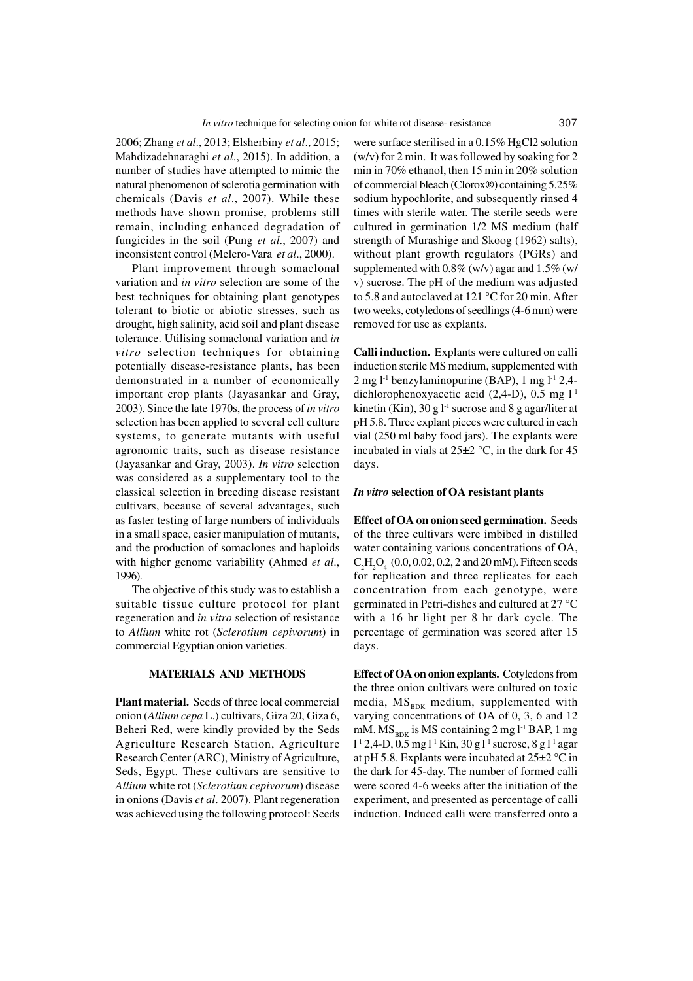2006; Zhang *et al*., 2013; Elsherbiny *et al*., 2015; Mahdizadehnaraghi *et al*., 2015). In addition, a number of studies have attempted to mimic the natural phenomenon of sclerotia germination with chemicals (Davis *et al*., 2007). While these methods have shown promise, problems still remain, including enhanced degradation of fungicides in the soil (Pung *et al*., 2007) and inconsistent control (Melero-Vara *et al*., 2000).

Plant improvement through somaclonal variation and *in vitro* selection are some of the best techniques for obtaining plant genotypes tolerant to biotic or abiotic stresses, such as drought, high salinity, acid soil and plant disease tolerance. Utilising somaclonal variation and *in vitro* selection techniques for obtaining potentially disease-resistance plants, has been demonstrated in a number of economically important crop plants (Jayasankar and Gray, 2003). Since the late 1970s, the process of *in vitro* selection has been applied to several cell culture systems, to generate mutants with useful agronomic traits, such as disease resistance (Jayasankar and Gray, 2003). *In vitro* selection was considered as a supplementary tool to the classical selection in breeding disease resistant cultivars, because of several advantages, such as faster testing of large numbers of individuals in a small space, easier manipulation of mutants, and the production of somaclones and haploids with higher genome variability (Ahmed *et al*., 1996).

The objective of this study was to establish a suitable tissue culture protocol for plant regeneration and *in vitro* selection of resistance to *Allium* white rot (*Sclerotium cepivorum*) in commercial Egyptian onion varieties.

# **MATERIALS AND METHODS**

**Plant material.** Seeds of three local commercial onion (*Allium cepa* L.) cultivars, Giza 20, Giza 6, Beheri Red, were kindly provided by the Seds Agriculture Research Station, Agriculture Research Center (ARC), Ministry of Agriculture, Seds, Egypt. These cultivars are sensitive to *Allium* white rot (*Sclerotium cepivorum*) disease in onions (Davis *et al*. 2007). Plant regeneration was achieved using the following protocol: Seeds

were surface sterilised in a 0.15% HgCl2 solution (w/v) for 2 min. It was followed by soaking for 2 min in 70% ethanol, then 15 min in 20% solution of commercial bleach (Clorox®) containing 5.25% sodium hypochlorite, and subsequently rinsed 4 times with sterile water. The sterile seeds were cultured in germination 1/2 MS medium (half strength of Murashige and Skoog (1962) salts), without plant growth regulators (PGRs) and supplemented with 0.8% (w/v) agar and 1.5% (w/ v) sucrose. The pH of the medium was adjusted to 5.8 and autoclaved at 121 °C for 20 min. After two weeks, cotyledons of seedlings (4-6 mm) were removed for use as explants.

**Calli induction.** Explants were cultured on calli induction sterile MS medium, supplemented with  $2$  mg  $1<sup>-1</sup>$  benzylaminopurine (BAP), 1 mg  $1<sup>-1</sup>$  2,4dichlorophenoxyacetic acid  $(2,4-D)$ , 0.5 mg  $1<sup>-1</sup>$ kinetin (Kin), 30 g  $1<sup>1</sup>$  sucrose and 8 g agar/liter at pH 5.8. Three explant pieces were cultured in each vial (250 ml baby food jars). The explants were incubated in vials at  $25\pm2$  °C, in the dark for 45 days.

### *In vitro* **selection of OA resistant plants**

**Effect of OA on onion seed germination.** Seeds of the three cultivars were imbibed in distilled water containing various concentrations of OA,  $C_2H_2O_4$  (0.0, 0.02, 0.2, 2 and 20 mM). Fifteen seeds for replication and three replicates for each concentration from each genotype, were germinated in Petri-dishes and cultured at 27 °C with a 16 hr light per 8 hr dark cycle. The percentage of germination was scored after 15 days.

**Effect of OA on onion explants.** Cotyledons from the three onion cultivars were cultured on toxic media,  $MS_{BDK}$  medium, supplemented with varying concentrations of OA of 0, 3, 6 and 12 mM.  $MS<sub>BDK</sub>$  is MS containing 2 mg l<sup>-1</sup> BAP, 1 mg l -1 2,4-D, 0.5 mg l-1 Kin, 30 g l-1 sucrose, 8 g l-1 agar at pH 5.8. Explants were incubated at  $25\pm2$  °C in the dark for 45-day. The number of formed calli were scored 4-6 weeks after the initiation of the experiment, and presented as percentage of calli induction. Induced calli were transferred onto a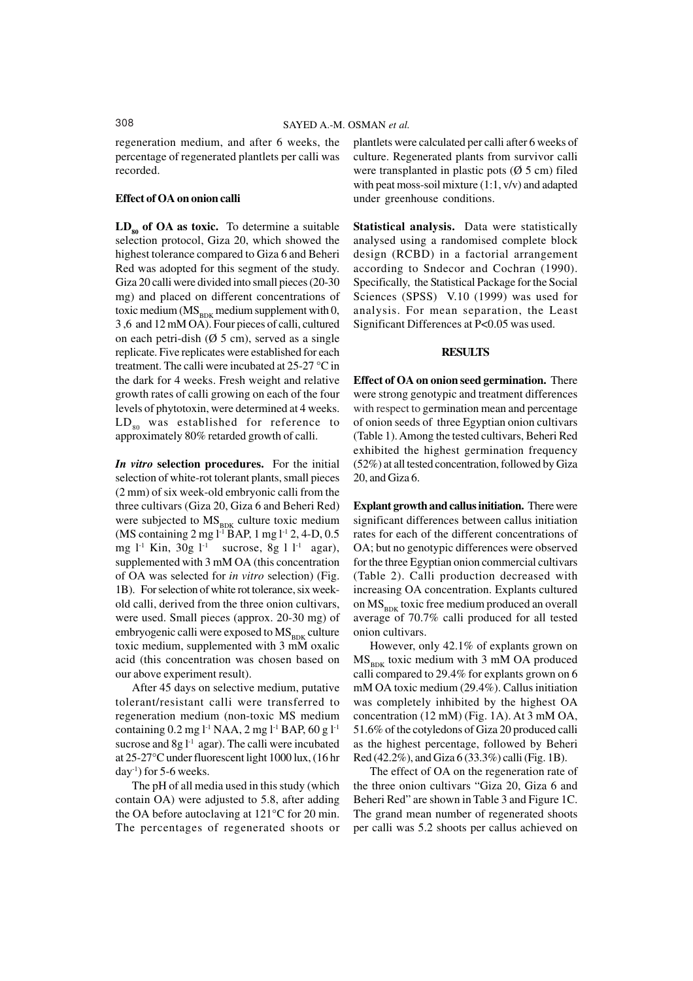regeneration medium, and after 6 weeks, the percentage of regenerated plantlets per calli was recorded.

## **Effect of OA on onion calli**

 $LD_{sa}$  of OA as toxic. To determine a suitable selection protocol, Giza 20, which showed the highest tolerance compared to Giza 6 and Beheri Red was adopted for this segment of the study. Giza 20 calli were divided into small pieces (20-30 mg) and placed on different concentrations of toxic medium ( $MS<sub>BDK</sub>$  medium supplement with 0, 3 ,6 and 12 mM OA). Four pieces of calli, cultured on each petri-dish  $(\emptyset 5 \text{ cm})$ , served as a single replicate. Five replicates were established for each treatment. The calli were incubated at 25-27 °C in the dark for 4 weeks. Fresh weight and relative growth rates of calli growing on each of the four levels of phytotoxin, were determined at 4 weeks.  $LD<sub>80</sub>$  was established for reference to approximately 80% retarded growth of calli.

*In vitro* **selection procedures.** For the initial selection of white-rot tolerant plants, small pieces (2 mm) of six week-old embryonic calli from the three cultivars (Giza 20, Giza 6 and Beheri Red) were subjected to  $MS<sub>BDK</sub>$  culture toxic medium (MS containing 2 mg  $1^{11}$  BAP, 1 mg  $1^{12}$ , 4-D, 0.5 mg  $l^{-1}$  Kin, 30g  $l^{-1}$  sucrose, 8g  $l l^{-1}$  agar), supplemented with 3 mM OA (this concentration of OA was selected for *in vitro* selection) (Fig. 1B). For selection of white rot tolerance, six weekold calli, derived from the three onion cultivars, were used. Small pieces (approx. 20-30 mg) of embryogenic calli were exposed to  $MS_{BDK}$  culture toxic medium, supplemented with 3 mM oxalic acid (this concentration was chosen based on our above experiment result).

After 45 days on selective medium, putative tolerant/resistant calli were transferred to regeneration medium (non-toxic MS medium containing  $0.2$  mg  $l<sup>-1</sup>$  NAA,  $2$  mg  $l<sup>-1</sup>$  BAP,  $60$  g  $l<sup>-1</sup>$ sucrose and  $8g1^{-1}$  agar). The calli were incubated at 25-27°C under fluorescent light 1000 lux, (16 hr day<sup>-1</sup>) for 5-6 weeks.

The pH of all media used in this study (which contain OA) were adjusted to 5.8, after adding the OA before autoclaving at 121°C for 20 min. The percentages of regenerated shoots or plantlets were calculated per calli after 6 weeks of culture. Regenerated plants from survivor calli were transplanted in plastic pots  $(\emptyset 5 \text{ cm})$  filed with peat moss-soil mixture (1:1, v/v) and adapted under greenhouse conditions.

**Statistical analysis.** Data were statistically analysed using a randomised complete block design (RCBD) in a factorial arrangement according to Sndecor and Cochran (1990). Specifically, the Statistical Package for the Social Sciences (SPSS) V.10 (1999) was used for analysis. For mean separation, the Least Significant Differences at P<0.05 was used.

#### **RESULTS**

**Effect of OA on onion seed germination.** There were strong genotypic and treatment differences with respect to germination mean and percentage of onion seeds of three Egyptian onion cultivars (Table 1). Among the tested cultivars, Beheri Red exhibited the highest germination frequency (52%) at all tested concentration, followed by Giza 20, and Giza 6.

**Explant growth and callus initiation.** There were significant differences between callus initiation rates for each of the different concentrations of OA; but no genotypic differences were observed for the three Egyptian onion commercial cultivars (Table 2). Calli production decreased with increasing OA concentration. Explants cultured on  $MS<sub>RDK</sub>$  toxic free medium produced an overall average of 70.7% calli produced for all tested onion cultivars.

However, only 42.1% of explants grown on  $MS<sub>RDK</sub>$  toxic medium with 3 mM OA produced calli compared to 29.4% for explants grown on 6 mM OA toxic medium (29.4%). Callus initiation was completely inhibited by the highest OA concentration (12 mM) (Fig. 1A). At 3 mM OA, 51.6% of the cotyledons of Giza 20 produced calli as the highest percentage, followed by Beheri Red (42.2%), and Giza 6 (33.3%) calli (Fig. 1B).

The effect of OA on the regeneration rate of the three onion cultivars "Giza 20, Giza 6 and Beheri Red" are shown in Table 3 and Figure 1C. The grand mean number of regenerated shoots per calli was 5.2 shoots per callus achieved on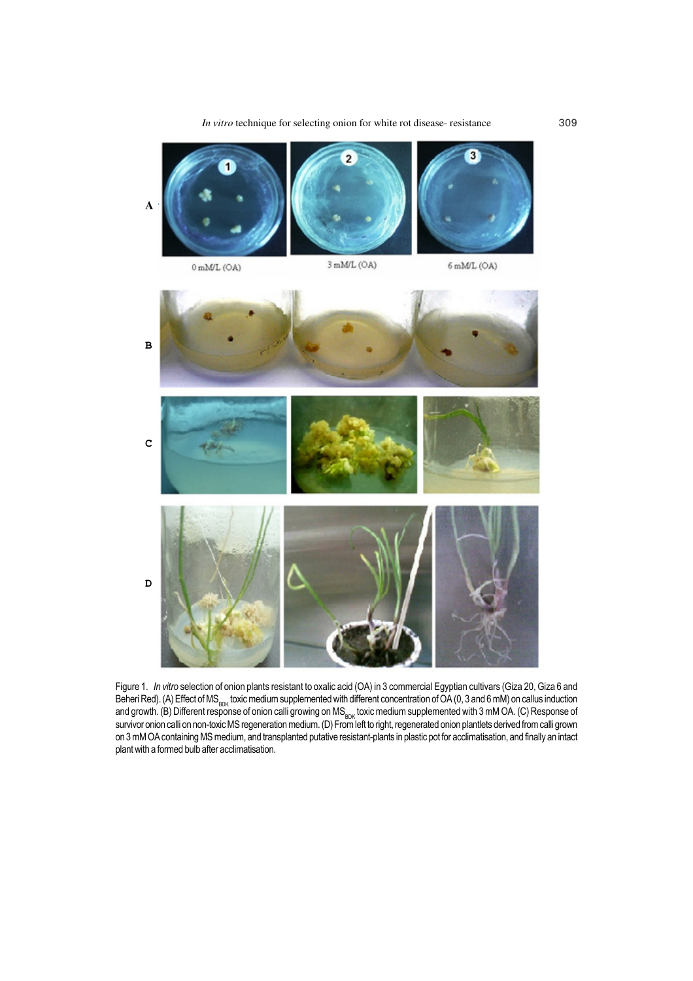*In vitro* technique for selecting onion for white rot disease- resistance 309



 $0$  mM/L (OA)

3 mM/L (OA)

 $6mML(OA)$ 



Figure 1. *In vitro* selection of onion plants resistant to oxalic acid (OA) in 3 commercial Egyptian cultivars (Giza 20, Giza 6 and Beheri Red). (A) Effect of MS<sub>BDK</sub> toxic medium supplemented with different concentration of OA (0, 3 and 6 mM) on callus induction and growth. (B) Different response of onion calli growing on MS<sub>BDK</sub> toxic medium supplemented with 3 mM OA. (C) Response of survivor onion calli on non-toxic MS regeneration medium. (D) From left to right, regenerated onion plantlets derived from calli grown on 3 mM OA containing MS medium, and transplanted putative resistant-plants in plastic pot for acclimatisation, and finally an intact plant with a formed bulb after acclimatisation.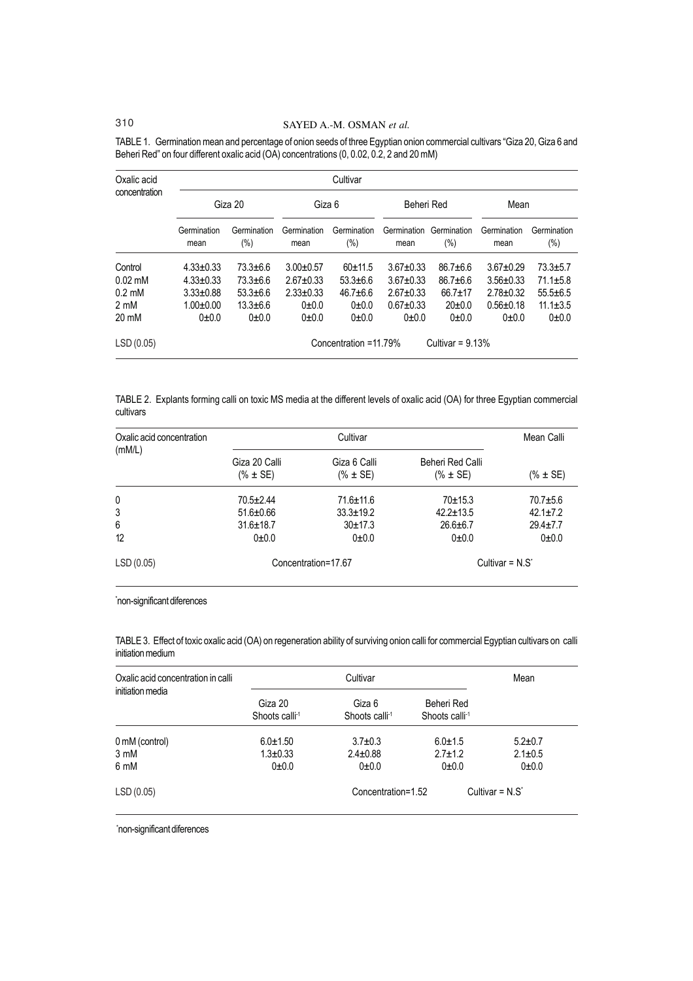# 310 SAYED A.-M. OSMAN *et al.*

TABLE 1. Germination mean and percentage of onion seeds of three Egyptian onion commercial cultivars "Giza 20, Giza 6 and Beheri Red" on four different oxalic acid (OA) concentrations (0, 0.02, 0.2, 2 and 20 mM)

| Oxalic acid<br>concentration | Cultivar                                     |                    |                     |                       |                     |                        |                     |                        |  |
|------------------------------|----------------------------------------------|--------------------|---------------------|-----------------------|---------------------|------------------------|---------------------|------------------------|--|
|                              | Giza 20                                      |                    | Giza 6              |                       | Beheri Red          |                        | Mean                |                        |  |
|                              | Germination<br>mean                          | Germination<br>(%) | Germination<br>mean | Germination<br>$(\%)$ | Germination<br>mean | Germination<br>$(\% )$ | Germination<br>mean | Germination<br>$(\% )$ |  |
| Control                      | $4.33 \pm 0.33$                              | $73.3 \pm 6.6$     | $3.00 \pm 0.57$     | $60+11.5$             | $3.67 \pm 0.33$     | $86.7 \pm 6.6$         | $3.67 \pm 0.29$     | $73.3 + 5.7$           |  |
| $0.02 \text{ mM}$            | $4.33 \pm 0.33$                              | $73.3 \pm 6.6$     | $2.67 \pm 0.33$     | $53.3 + 6.6$          | $3.67 + 0.33$       | $86.7 \pm 6.6$         | $3.56 \pm 0.33$     | $71.1 \pm 5.8$         |  |
| $0.2 \text{ }\mathrm{m}$ M   | $3.33 \pm 0.88$                              | $53.3 + 6.6$       | $2.33 \pm 0.33$     | $46.7 + 6.6$          | $2.67 \pm 0.33$     | $66.7 \pm 17$          | $2.78 \pm 0.32$     | $55.5 \pm 6.5$         |  |
| 2 mM                         | $1.00 \pm 0.00$                              | $13.3 \pm 6.6$     | $0.0 + 0.0$         | 0±0.0                 | $0.67 \pm 0.33$     | $20+0.0$               | $0.56 \pm 0.18$     | $11.1 \pm 3.5$         |  |
| 20 mM                        | $0.0 + 0.0$                                  | $0.0 + 0.0$        | $0.0 + 0.0$         | 0±0.0                 | $0.0 + 0.0$         | $0.0 + 0.0$            | $0 + 0.0$           | $0\pm0.0$              |  |
| LSD(0.05)                    | Cultivar = $9.13%$<br>Concentration = 11.79% |                    |                     |                       |                     |                        |                     |                        |  |

TABLE 2. Explants forming calli on toxic MS media at the different levels of oxalic acid (OA) for three Egyptian commercial cultivars

| Oxalic acid concentration<br>(mM/L) |                             | Mean Calli                    |                                |                    |
|-------------------------------------|-----------------------------|-------------------------------|--------------------------------|--------------------|
|                                     | Giza 20 Calli<br>$% \pm SE$ | Giza 6 Calli<br>$(\% \pm SE)$ | Beheri Red Calli<br>$% \pm SE$ | (% ± SE)           |
| 0                                   | $70.5 \pm 2.44$             | $71.6 \pm 11.6$               | 70±15.3                        | 70.7±5.6           |
| 3                                   | $51.6 \pm 0.66$             | $33.3 \pm 19.2$               | $42.2 \pm 13.5$                | $42.1 \pm 7.2$     |
| 6                                   | $31.6 \pm 18.7$             | 30±17.3                       | $26.6 \pm 6.7$                 | $29.4 \pm 7.7$     |
| 12                                  | $0.0 + 0.0$                 | $0.0 + 0.0$                   | $0.0 + 0.0$                    | 0±0.0              |
| LSD (0.05)                          | Concentration=17.67         |                               |                                | Cultivar = $N.S^*$ |

\*non-significant diferences

TABLE 3. Effect of toxic oxalic acid (OA) on regeneration ability of surviving onion calli for commercial Egyptian cultivars on calli initiation medium

| Oxalic acid concentration in calli<br>initiation media |                                         | Mean                                           |                                             |                                               |  |
|--------------------------------------------------------|-----------------------------------------|------------------------------------------------|---------------------------------------------|-----------------------------------------------|--|
|                                                        | Giza 20<br>Shoots calli <sup>-1</sup>   | Giza 6<br>Shoots calli <sup>-1</sup>           | Beheri Red<br>Shoots calli <sup>-1</sup>    |                                               |  |
| 0 mM (control)<br>3 mM<br>6 mM                         | $6.0 + 1.50$<br>$1.3 \pm 0.33$<br>0±0.0 | $3.7 \pm 0.3$<br>$2.4 \pm 0.88$<br>$0.0 + 0.0$ | $6.0 + 1.5$<br>$2.7 \pm 1.2$<br>$0.0 + 0.0$ | $5.2 \pm 0.7$<br>$2.1 \pm 0.5$<br>$0.0 + 0.0$ |  |
| LSD(0.05)                                              |                                         | Concentration=1.52                             |                                             | Cultivar = $N.S^*$                            |  |

\*non-significant diferences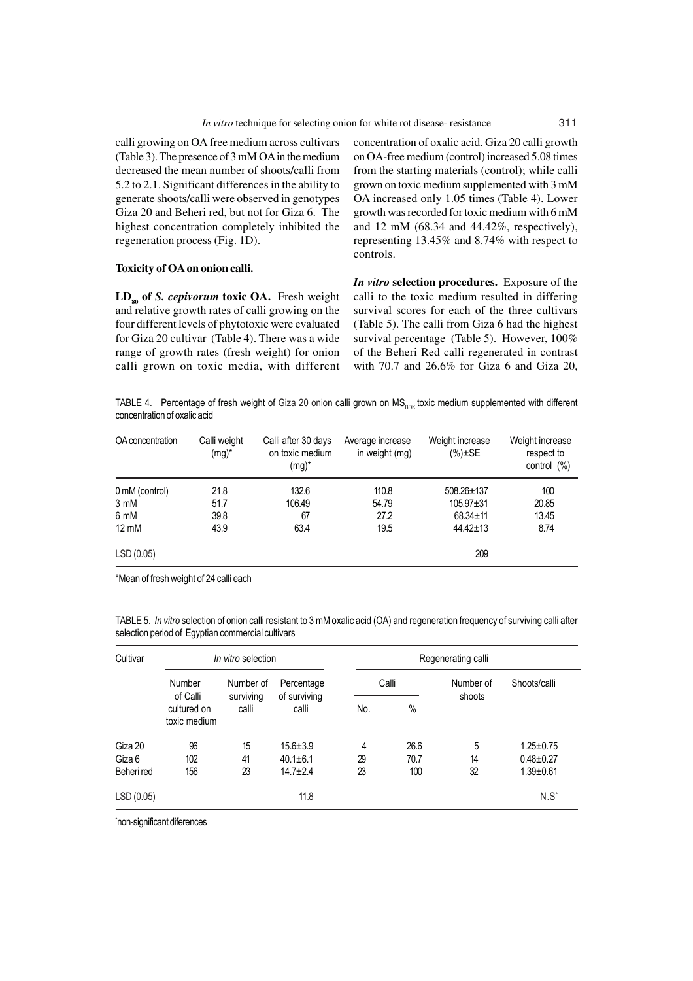calli growing on OA free medium across cultivars (Table 3). The presence of 3 mM OA in the medium decreased the mean number of shoots/calli from 5.2 to 2.1. Significant differences in the ability to generate shoots/calli were observed in genotypes Giza 20 and Beheri red, but not for Giza 6. The highest concentration completely inhibited the regeneration process (Fig. 1D).

# **Toxicity of OA on onion calli.**

**LD80 of** *S. cepivorum* **toxic OA.** Fresh weight and relative growth rates of calli growing on the four different levels of phytotoxic were evaluated for Giza 20 cultivar (Table 4). There was a wide range of growth rates (fresh weight) for onion calli grown on toxic media, with different concentration of oxalic acid. Giza 20 calli growth on OA-free medium (control) increased 5.08 times from the starting materials (control); while calli grown on toxic medium supplemented with 3 mM OA increased only 1.05 times (Table 4). Lower growth was recorded for toxic medium with 6 mM and 12 mM (68.34 and 44.42%, respectively), representing 13.45% and 8.74% with respect to controls.

*In vitro* **selection procedures.** Exposure of the calli to the toxic medium resulted in differing survival scores for each of the three cultivars (Table 5). The calli from Giza 6 had the highest survival percentage (Table 5). However, 100% of the Beheri Red calli regenerated in contrast with 70.7 and 26.6% for Giza 6 and Giza 20,

TABLE 4. Percentage of fresh weight of Giza 20 onion calli grown on MS<sub>BDK</sub> toxic medium supplemented with different concentration of oxalic acid

| OA concentration | Calli weight<br>$(mg)^*$ | Calli after 30 days<br>on toxic medium<br>$(mg)^*$ | Average increase<br>in weight (mg) | Weight increase<br>$(\%)\pm$ SE | Weight increase<br>respect to<br>control $(\%)$ |
|------------------|--------------------------|----------------------------------------------------|------------------------------------|---------------------------------|-------------------------------------------------|
| 0 mM (control)   | 21.8                     | 132.6                                              | 110.8                              | 508.26±137                      | 100                                             |
| 3 mM             | 51.7                     | 106.49                                             | 54.79                              | $105.97 + 31$                   | 20.85                                           |
| 6 mM             | 39.8                     | 67                                                 | 27.2                               | $68.34 \pm 11$                  | 13.45                                           |
| $12 \text{ mM}$  | 43.9                     | 63.4                                               | 19.5                               | $44.42 \pm 13$                  | 8.74                                            |
| LSD(0.05)        |                          |                                                    |                                    | 209                             |                                                 |

\*Mean of fresh weight of 24 calli each

TABLE 5. *In vitro* selection of onion calli resistant to 3 mM oxalic acid (OA) and regeneration frequency of surviving calli after selection period of Egyptian commercial cultivars

| Cultivar   | In vitro selection                      |                    |                                     | Regenerating calli |      |           |                 |
|------------|-----------------------------------------|--------------------|-------------------------------------|--------------------|------|-----------|-----------------|
|            | Number                                  | Number of          | Percentage<br>of surviving<br>calli | Calli              |      | Number of | Shoots/calli    |
|            | of Calli<br>cultured on<br>toxic medium | surviving<br>calli |                                     | No.                | %    | shoots    |                 |
| Giza 20    | 96                                      | 15                 | $15.6 \pm 3.9$                      | 4                  | 26.6 | 5         | $1.25 \pm 0.75$ |
| Giza 6     | 102                                     | 41                 | $40.1 \pm 6.1$                      | 29                 | 70.7 | 14        | $0.48 + 0.27$   |
| Beheri red | 156                                     | 23                 | $14.7 \pm 2.4$                      | 23                 | 100  | 32        | $1.39 + 0.61$   |
| LSD(0.05)  |                                         |                    | 11.8                                |                    |      |           | N.S             |

\*non-significant diferences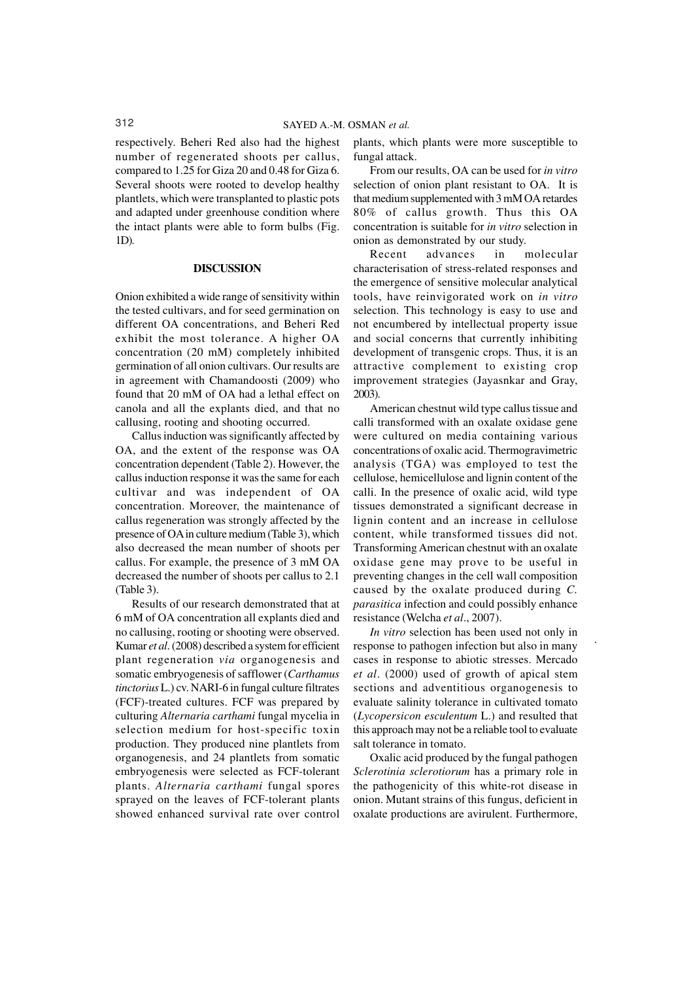respectively. Beheri Red also had the highest number of regenerated shoots per callus, compared to 1.25 for Giza 20 and 0.48 for Giza 6. Several shoots were rooted to develop healthy plantlets, which were transplanted to plastic pots and adapted under greenhouse condition where the intact plants were able to form bulbs (Fig. 1D).

## **DISCUSSION**

Onion exhibited a wide range of sensitivity within the tested cultivars, and for seed germination on different OA concentrations, and Beheri Red exhibit the most tolerance. A higher OA concentration (20 mM) completely inhibited germination of all onion cultivars. Our results are in agreement with Chamandoosti (2009) who found that 20 mM of OA had a lethal effect on canola and all the explants died, and that no callusing, rooting and shooting occurred.

Callus induction was significantly affected by OA, and the extent of the response was OA concentration dependent (Table 2). However, the callus induction response it was the same for each cultivar and was independent of OA concentration. Moreover, the maintenance of callus regeneration was strongly affected by the presence of OA in culture medium (Table 3), which also decreased the mean number of shoots per callus. For example, the presence of 3 mM OA decreased the number of shoots per callus to 2.1 (Table 3).

Results of our research demonstrated that at 6 mM of OA concentration all explants died and no callusing, rooting or shooting were observed. Kumar *et al*. (2008) described a system for efficient plant regeneration *via* organogenesis and somatic embryogenesis of safflower (*Carthamus tinctorius* L.) cv. NARI-6 in fungal culture filtrates (FCF)-treated cultures. FCF was prepared by culturing *Alternaria carthami* fungal mycelia in selection medium for host-specific toxin production. They produced nine plantlets from organogenesis, and 24 plantlets from somatic embryogenesis were selected as FCF-tolerant plants. *Alternaria carthami* fungal spores sprayed on the leaves of FCF-tolerant plants showed enhanced survival rate over control

plants, which plants were more susceptible to fungal attack.

From our results, OA can be used for *in vitro* selection of onion plant resistant to OA. It is that medium supplemented with 3 mM OA retardes 80% of callus growth. Thus this OA concentration is suitable for *in vitro* selection in onion as demonstrated by our study.

Recent advances in molecular characterisation of stress-related responses and the emergence of sensitive molecular analytical tools, have reinvigorated work on *in vitro* selection. This technology is easy to use and not encumbered by intellectual property issue and social concerns that currently inhibiting development of transgenic crops. Thus, it is an attractive complement to existing crop improvement strategies (Jayasnkar and Gray, 2003).

American chestnut wild type callus tissue and calli transformed with an oxalate oxidase gene were cultured on media containing various concentrations of oxalic acid. Thermogravimetric analysis (TGA) was employed to test the cellulose, hemicellulose and lignin content of the calli. In the presence of oxalic acid, wild type tissues demonstrated a significant decrease in lignin content and an increase in cellulose content, while transformed tissues did not. Transforming American chestnut with an oxalate oxidase gene may prove to be useful in preventing changes in the cell wall composition caused by the oxalate produced during *C. parasitica* infection and could possibly enhance resistance (Welcha *et al*., 2007).

*In vitro* selection has been used not only in response to pathogen infection but also in many cases in response to abiotic stresses. Mercado *et al*. (2000) used of growth of apical stem sections and adventitious organogenesis to evaluate salinity tolerance in cultivated tomato (*Lycopersicon esculentum* L.) and resulted that this approach may not be a reliable tool to evaluate salt tolerance in tomato.

.

Oxalic acid produced by the fungal pathogen *Sclerotinia sclerotiorum* has a primary role in the pathogenicity of this white-rot disease in onion. Mutant strains of this fungus, deficient in oxalate productions are avirulent. Furthermore,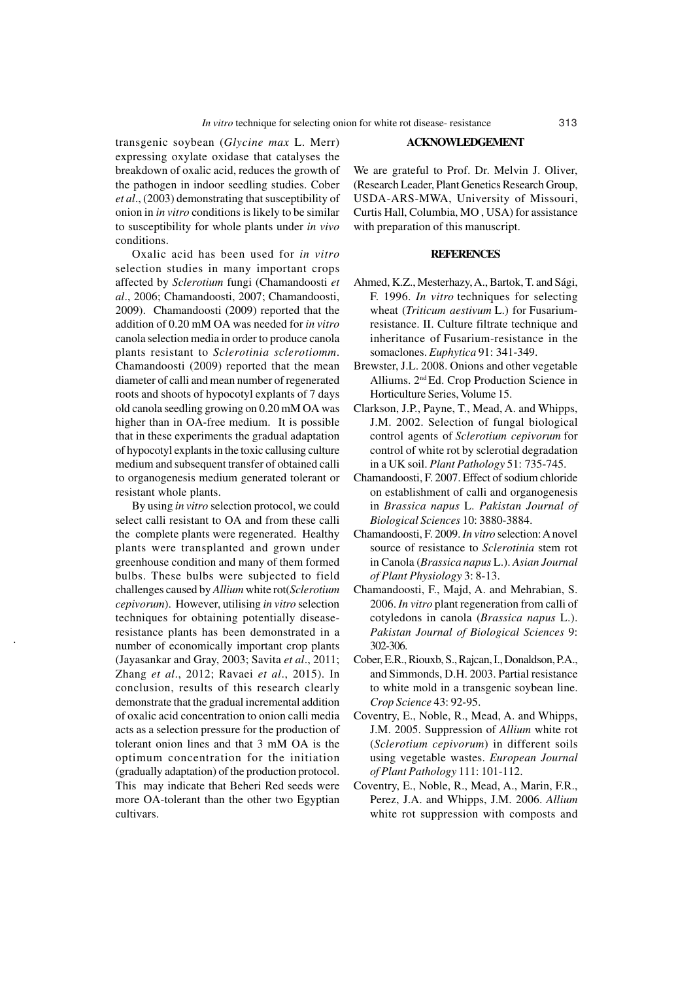transgenic soybean (*Glycine max* L. Merr) expressing oxylate oxidase that catalyses the breakdown of oxalic acid, reduces the growth of the pathogen in indoor seedling studies. Cober *et al*., (2003) demonstrating that susceptibility of onion in *in vitro* conditions is likely to be similar to susceptibility for whole plants under *in vivo* conditions.

Oxalic acid has been used for *in vitro* selection studies in many important crops affected by *Sclerotium* fungi (Chamandoosti *et al*., 2006; Chamandoosti, 2007; Chamandoosti, 2009). Chamandoosti (2009) reported that the addition of 0.20 mM OA was needed for *in vitro* canola selection media in order to produce canola plants resistant to *Sclerotinia sclerotiomm*. Chamandoosti (2009) reported that the mean diameter of calli and mean number of regenerated roots and shoots of hypocotyl explants of 7 days old canola seedling growing on 0.20 mM OA was higher than in OA-free medium. It is possible that in these experiments the gradual adaptation of hypocotyl explants in the toxic callusing culture medium and subsequent transfer of obtained calli to organogenesis medium generated tolerant or resistant whole plants.

By using *in vitro* selection protocol, we could select calli resistant to OA and from these calli the complete plants were regenerated. Healthy plants were transplanted and grown under greenhouse condition and many of them formed bulbs. These bulbs were subjected to field challenges caused by *Allium* white rot(*Sclerotium cepivorum*). However, utilising *in vitro* selection techniques for obtaining potentially diseaseresistance plants has been demonstrated in a number of economically important crop plants (Jayasankar and Gray, 2003; Savita *et al*., 2011; Zhang *et al*., 2012; Ravaei *et al*., 2015). In conclusion, results of this research clearly demonstrate that the gradual incremental addition of oxalic acid concentration to onion calli media acts as a selection pressure for the production of tolerant onion lines and that 3 mM OA is the optimum concentration for the initiation (gradually adaptation) of the production protocol. This may indicate that Beheri Red seeds were more OA-tolerant than the other two Egyptian cultivars.

.

### **ACKNOWLEDGEMENT**

We are grateful to Prof. Dr. Melvin J. Oliver, (Research Leader, Plant Genetics Research Group, USDA-ARS-MWA, University of Missouri, Curtis Hall, Columbia, MO , USA) for assistance with preparation of this manuscript.

#### **REFERENCES**

- Ahmed, K.Z., Mesterhazy, A., Bartok, T. and Sági, F. 1996. *In vitro* techniques for selecting wheat (*Triticum aestivum* L.) for Fusariumresistance. II. Culture filtrate technique and inheritance of Fusarium-resistance in the somaclones. *Euphytica* 91: 341-349.
- Brewster, J.L. 2008. Onions and other vegetable Alliums. 2nd Ed. Crop Production Science in Horticulture Series, Volume 15.
- Clarkson, J.P., Payne, T., Mead, A. and Whipps, J.M. 2002. Selection of fungal biological control agents of *Sclerotium cepivorum* for control of white rot by sclerotial degradation in a UK soil. *Plant Pathology* 51: 735-745.
- Chamandoosti, F. 2007. Effect of sodium chloride on establishment of calli and organogenesis in *Brassica napus* L. *Pakistan Journal of Biological Sciences* 10: 3880-3884.
- Chamandoosti, F. 2009. *In vitro* selection: A novel source of resistance to *Sclerotinia* stem rot in Canola (*Brassica napus* L.). *Asian Journal of Plant Physiology* 3: 8-13.
- Chamandoosti, F., Majd, A. and Mehrabian, S. 2006. *In vitro* plant regeneration from calli of cotyledons in canola (*Brassica napus* L.). *Pakistan Journal of Biological Sciences* 9: 302-306.
- Cober, E.R., Riouxb, S., Rajcan, I., Donaldson, P.A., and Simmonds, D.H. 2003. Partial resistance to white mold in a transgenic soybean line. *Crop Science* 43: 92-95.
- Coventry, E., Noble, R., Mead, A. and Whipps, J.M. 2005. Suppression of *Allium* white rot (*Sclerotium cepivorum*) in different soils using vegetable wastes. *European Journal of Plant Pathology* 111: 101-112.
- Coventry, E., Noble, R., Mead, A., Marin, F.R., Perez, J.A. and Whipps, J.M. 2006. *Allium* white rot suppression with composts and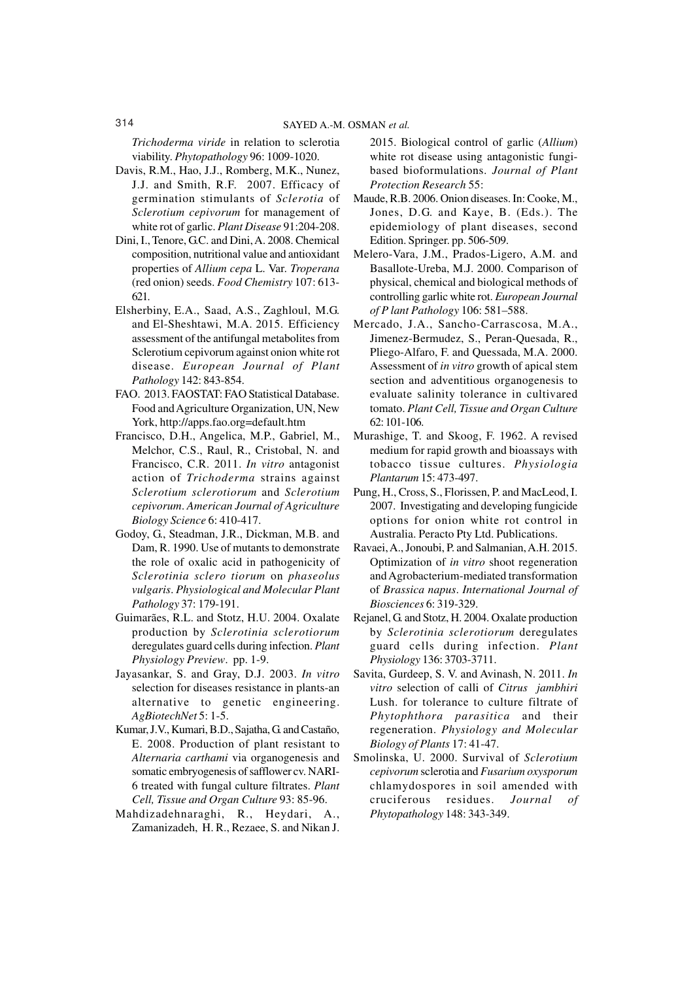*Trichoderma viride* in relation to sclerotia viability. *Phytopathology* 96: 1009-1020.

- Davis, R.M., Hao, J.J., Romberg, M.K., Nunez, J.J. and Smith, R.F. 2007. Efficacy of germination stimulants of *Sclerotia* of *Sclerotium cepivorum* for management of white rot of garlic. *Plant Disease* 91:204-208.
- Dini, I., Tenore, G.C. and Dini, A. 2008. Chemical composition, nutritional value and antioxidant properties of *Allium cepa* L. Var. *Troperana* (red onion) seeds. *Food Chemistry* 107: 613- 621.
- Elsherbiny, E.A., Saad, A.S., Zaghloul, M.G. and El-Sheshtawi, M.A. 2015. Efficiency assessment of the antifungal metabolites from Sclerotium cepivorum against onion white rot disease. *European Journal of Plant Pathology* 142: 843-854.
- FAO. 2013. FAOSTAT: FAO Statistical Database. Food and Agriculture Organization, UN, New York, http://apps.fao.org=default.htm
- Francisco, D.H., Angelica, M.P., Gabriel, M., Melchor, C.S., Raul, R., Cristobal, N. and Francisco, C.R. 2011. *In vitro* antagonist action of *Trichoderma* strains against *Sclerotium sclerotiorum* and *Sclerotium cepivorum*. *American Journal of Agriculture Biology Science* 6: 410-417.
- Godoy, G., Steadman, J.R., Dickman, M.B. and Dam, R. 1990. Use of mutants to demonstrate the role of oxalic acid in pathogenicity of *Sclerotinia sclero tiorum* on *phaseolus vulgaris*. *Physiological and Molecular Plant Pathology* 37: 179-191.
- Guimarães, R.L. and Stotz, H.U. 2004. Oxalate production by *Sclerotinia sclerotiorum* deregulates guard cells during infection. *Plant Physiology Preview*. pp. 1-9.
- Jayasankar, S. and Gray, D.J. 2003. *In vitro* selection for diseases resistance in plants-an alternative to genetic engineering. *AgBiotechNet* 5: 1-5.
- Kumar, J.V., Kumari, B.D., Sajatha, G. and Castaño, E. 2008. Production of plant resistant to *Alternaria carthami* via organogenesis and somatic embryogenesis of safflower cv. NARI-6 treated with fungal culture filtrates. *Plant Cell, Tissue and Organ Culture* 93: 85-96.
- Mahdizadehnaraghi, R., Heydari, A., Zamanizadeh, H. R., Rezaee, S. and Nikan J.

2015. Biological control of garlic (*Allium*) white rot disease using antagonistic fungibased bioformulations. *Journal of Plant Protection Research* 55:

- Maude, R.B. 2006. Onion diseases. In: Cooke, M., Jones, D.G. and Kaye, B. (Eds.). The epidemiology of plant diseases, second Edition. Springer. pp. 506-509.
- Melero-Vara, J.M., Prados-Ligero, A.M. and Basallote-Ureba, M.J. 2000. Comparison of physical, chemical and biological methods of controlling garlic white rot. *European Journal of P lant Pathology* 106: 581–588.
- Mercado, J.A., Sancho-Carrascosa, M.A., Jimenez-Bermudez, S., Peran-Quesada, R., Pliego-Alfaro, F. and Quessada, M.A. 2000. Assessment of *in vitro* growth of apical stem section and adventitious organogenesis to evaluate salinity tolerance in cultivared tomato. *Plant Cell, Tissue and Organ Culture* 62: 101-106.
- Murashige, T. and Skoog, F. 1962. A revised medium for rapid growth and bioassays with tobacco tissue cultures. *Physiologia Plantarum* 15: 473-497.
- Pung, H., Cross, S., Florissen, P. and MacLeod, I. 2007. Investigating and developing fungicide options for onion white rot control in Australia. Peracto Pty Ltd. Publications.
- Ravaei, A., Jonoubi, P. and Salmanian, A.H. 2015. Optimization of *in vitro* shoot regeneration and Agrobacterium-mediated transformation of *Brassica napus*. *International Journal of Biosciences* 6: 319-329.
- Rejanel, G. and Stotz, H. 2004. Oxalate production by *Sclerotinia sclerotiorum* deregulates guard cells during infection. *Plant Physiology* 136: 3703-3711.
- Savita, Gurdeep, S. V. and Avinash, N. 2011. *In vitro* selection of calli of *Citrus jambhiri* Lush. for tolerance to culture filtrate of *Phytophthora parasitica* and their regeneration. *Physiology and Molecular Biology of Plants* 17: 41-47.
- Smolinska, U. 2000. Survival of *Sclerotium cepivorum* sclerotia and *Fusarium oxysporum* chlamydospores in soil amended with cruciferous residues. *Journal of Phytopathology* 148: 343-349.